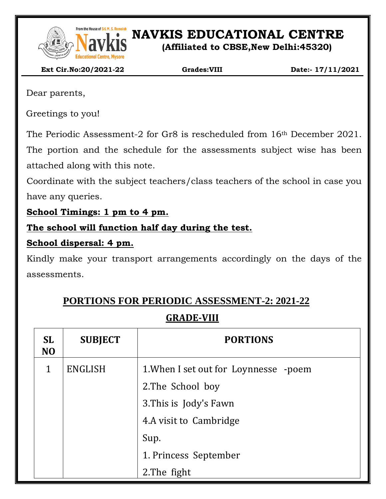

From the House of Sri. M. S. Ramaidah<br>**NAVEL SONG PRESENT IN S. Ramaidah**<br>**NAVEL SONG PRESENT IN SONG PRESENT IN SONG PRESENT IN SONG PRESENT IN SONG PRESENT IN SONG PRESENT IN SONG PRESENT** 

**(Affiliated to CBSE,New Delhi:45320)**

 **Ext Cir.No:20/2021-22 Grades:VIII Date:- 17/11/2021**

Dear parents,

Greetings to you!

The Periodic Assessment-2 for Gr8 is rescheduled from 16th December 2021. The portion and the schedule for the assessments subject wise has been attached along with this note.

Coordinate with the subject teachers/class teachers of the school in case you have any queries.

**School Timings: 1 pm to 4 pm.**

**The school will function half day during the test.**

### **School dispersal: 4 pm.**

Kindly make your transport arrangements accordingly on the days of the assessments.

# **PORTIONS FOR PERIODIC ASSESSMENT-2: 2021-22**

## **GRADE-VIII**

| <b>SL</b><br>N <sub>O</sub> | <b>SUBJECT</b> | <b>PORTIONS</b>                       |  |
|-----------------------------|----------------|---------------------------------------|--|
| 1                           | <b>ENGLISH</b> | 1. When I set out for Loynnesse -poem |  |
|                             |                | 2. The School boy                     |  |
|                             |                | 3. This is Jody's Fawn                |  |
|                             |                | 4.A visit to Cambridge                |  |
|                             |                | Sup.                                  |  |
|                             |                | 1. Princess September                 |  |
|                             |                | 2. The fight                          |  |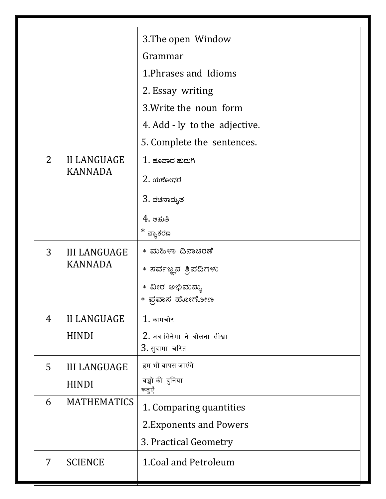|                |                                       | 3. The open Window                     |
|----------------|---------------------------------------|----------------------------------------|
|                |                                       | Grammar                                |
|                |                                       | 1. Phrases and Idioms                  |
|                |                                       | 2. Essay writing                       |
|                |                                       | 3. Write the noun form                 |
|                |                                       | 4. Add - ly to the adjective.          |
|                |                                       | 5. Complete the sentences.             |
| $\overline{2}$ | <b>II LANGUAGE</b><br><b>KANNADA</b>  | $1$ . ಹೂವಾದ ಹುದುಗಿ                     |
|                |                                       | $2.$ ಯಶೋಧರೆ                            |
|                |                                       | 3. ವಚನಾಮೃತ                             |
|                |                                       | $4.$ ಆಹುತಿ                             |
|                |                                       | * ವ್ಯಾಕರಣ                              |
| 3              | <b>III LANGUAGE</b><br><b>KANNADA</b> | * ಮಹಿಳಾ ದಿನಾಚರಣೆ                       |
|                |                                       | * ಸರ್ವಜ್ಞನ ತ್ರಿಪದಿಗಳು                  |
|                |                                       | * ವೀರ ಅಭಿಮನ್ಯು                         |
|                |                                       | * ಪ್ರವಾಸ ಹೋಗೋಣ                         |
| 4              | <b>II LANGUAGE</b><br><b>HINDI</b>    | $1.$ कामचोर                            |
|                |                                       | $2.$ जब सिनेमा $\,$ ने बोलना $\,$ सीखा |
|                |                                       | $3.$ सुदामा चरित                       |
| 5              | <b>III LANGUAGE</b>                   | हम भी वापस जाएंगे                      |
|                | <b>HINDI</b>                          | बच्चो की दुनिया<br>रूतुएँ              |
| 6              | <b>MATHEMATICS</b>                    | 1. Comparing quantities                |
|                |                                       | 2. Exponents and Powers                |
|                |                                       | 3. Practical Geometry                  |
| $\overline{7}$ | <b>SCIENCE</b>                        | 1. Coal and Petroleum                  |